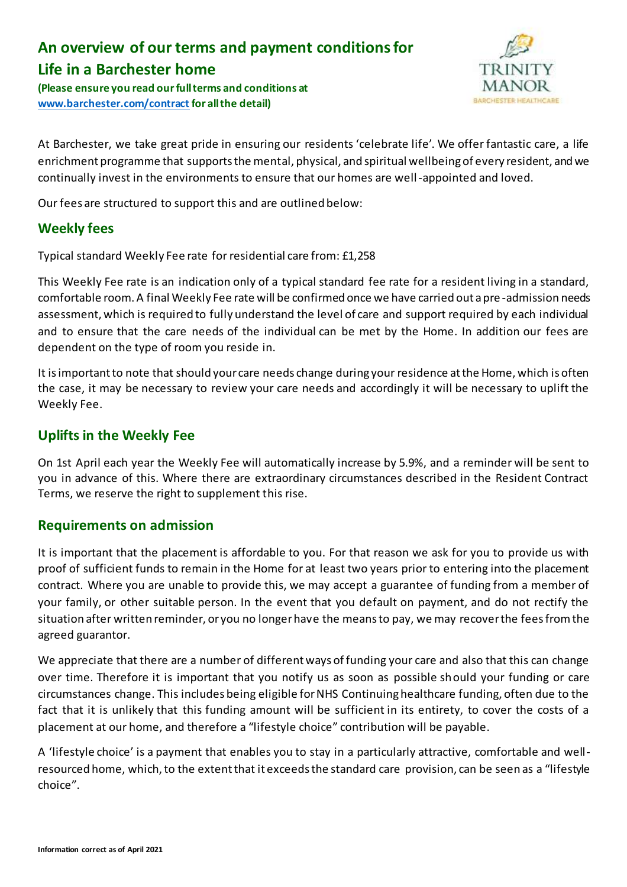# **An overview of our terms and payment conditions for Life in a Barchester home**

**(Please ensure you read our full terms and conditions at [www.barchester.com/contract](http://www.barchester.com/contract) for all the detail)**



At Barchester, we take great pride in ensuring our residents 'celebrate life'. We offer fantastic care, a life enrichment programme that supports the mental, physical, and spiritual wellbeing of every resident, and we continually invest in the environments to ensure that our homes are well-appointed and loved.

Our fees are structured to support this and are outlined below:

# **Weekly fees**

Typical standard Weekly Fee rate for residential care from: £1,258

This Weekly Fee rate is an indication only of a typical standard fee rate for a resident living in a standard, comfortable room. A final Weekly Fee rate will be confirmed once we have carried out a pre -admission needs assessment, which is required to fully understand the level of care and support required by each individual and to ensure that the care needs of the individual can be met by the Home. In addition our fees are dependent on the type of room you reside in.

It is important to note that should your care needs change during your residence at the Home, which is often the case, it may be necessary to review your care needs and accordingly it will be necessary to uplift the Weekly Fee.

## **Uplifts in the Weekly Fee**

On 1st April each year the Weekly Fee will automatically increase by 5.9%, and a reminder will be sent to you in advance of this. Where there are extraordinary circumstances described in the Resident Contract Terms, we reserve the right to supplement this rise.

#### **Requirements on admission**

It is important that the placement is affordable to you. For that reason we ask for you to provide us with proof of sufficient funds to remain in the Home for at least two years prior to entering into the placement contract. Where you are unable to provide this, we may accept a guarantee of funding from a member of your family, or other suitable person. In the event that you default on payment, and do not rectify the situation after written reminder, or you no longer have the means to pay, we may recover the fees from the agreed guarantor.

We appreciate that there are a number of different ways of funding your care and also that this can change over time. Therefore it is important that you notify us as soon as possible should your funding or care circumstances change. This includes being eligible for NHS Continuing healthcare funding, often due to the fact that it is unlikely that this funding amount will be sufficient in its entirety, to cover the costs of a placement at our home, and therefore a "lifestyle choice" contribution will be payable.

A 'lifestyle choice' is a payment that enables you to stay in a particularly attractive, comfortable and wellresourced home, which, to the extent that it exceeds the standard care provision, can be seen as a "lifestyle choice".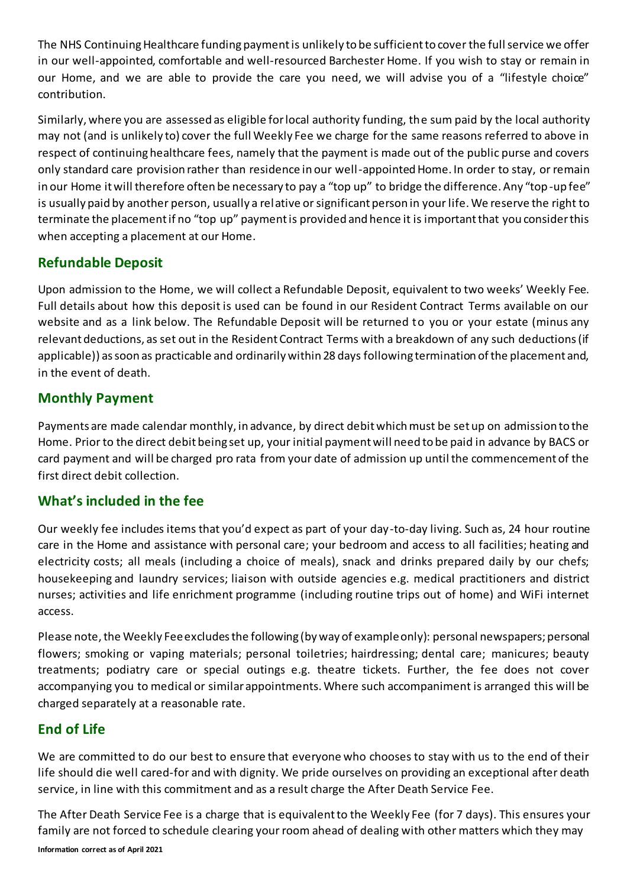The NHS Continuing Healthcare funding payment is unlikely to be sufficient to cover the full service we offer in our well-appointed, comfortable and well-resourced Barchester Home. If you wish to stay or remain in our Home, and we are able to provide the care you need, we will advise you of a "lifestyle choice" contribution.

Similarly, where you are assessed as eligible for local authority funding, the sum paid by the local authority may not (and is unlikely to) cover the full Weekly Fee we charge for the same reasons referred to above in respect of continuing healthcare fees, namely that the payment is made out of the public purse and covers only standard care provision rather than residence in our well-appointed Home. In order to stay, or remain in our Home it will therefore often be necessary to pay a "top up" to bridge the difference. Any "top-up fee" is usually paid by another person, usually a relative or significant person in your life. We reserve the right to terminate the placement if no "top up" payment is provided and hence it is important that you consider this when accepting a placement at our Home.

# **Refundable Deposit**

Upon admission to the Home, we will collect a Refundable Deposit, equivalent to two weeks' Weekly Fee. Full details about how this deposit is used can be found in our Resident Contract Terms available on our website and as a link below. The Refundable Deposit will be returned to you or your estate (minus any relevant deductions, as set out in the Resident Contract Terms with a breakdown of any such deductions (if applicable)) as soon as practicable and ordinarily within 28 days following termination of the placement and, in the event of death.

# **Monthly Payment**

Payments are made calendar monthly, in advance, by direct debit which must be set up on admission to the Home. Prior to the direct debit being set up, your initial payment will need to be paid in advance by BACS or card payment and will be charged pro rata from your date of admission up until the commencement of the first direct debit collection.

# **What's included in the fee**

Our weekly fee includes items that you'd expect as part of your day-to-day living. Such as, 24 hour routine care in the Home and assistance with personal care; your bedroom and access to all facilities; heating and electricity costs; all meals (including a choice of meals), snack and drinks prepared daily by our chefs; housekeeping and laundry services; liaison with outside agencies e.g. medical practitioners and district nurses; activities and life enrichment programme (including routine trips out of home) and WiFi internet access.

Please note, the Weekly Fee excludes the following (by way of example only): personal newspapers; personal flowers; smoking or vaping materials; personal toiletries; hairdressing; dental care; manicures; beauty treatments; podiatry care or special outings e.g. theatre tickets. Further, the fee does not cover accompanying you to medical or similar appointments. Where such accompaniment is arranged this will be charged separately at a reasonable rate.

# **End of Life**

We are committed to do our best to ensure that everyone who chooses to stay with us to the end of their life should die well cared-for and with dignity. We pride ourselves on providing an exceptional after death service, in line with this commitment and as a result charge the After Death Service Fee.

**Information correct as of April 2021** The After Death Service Fee is a charge that is equivalent to the Weekly Fee (for 7 days). This ensures your family are not forced to schedule clearing your room ahead of dealing with other matters which they may